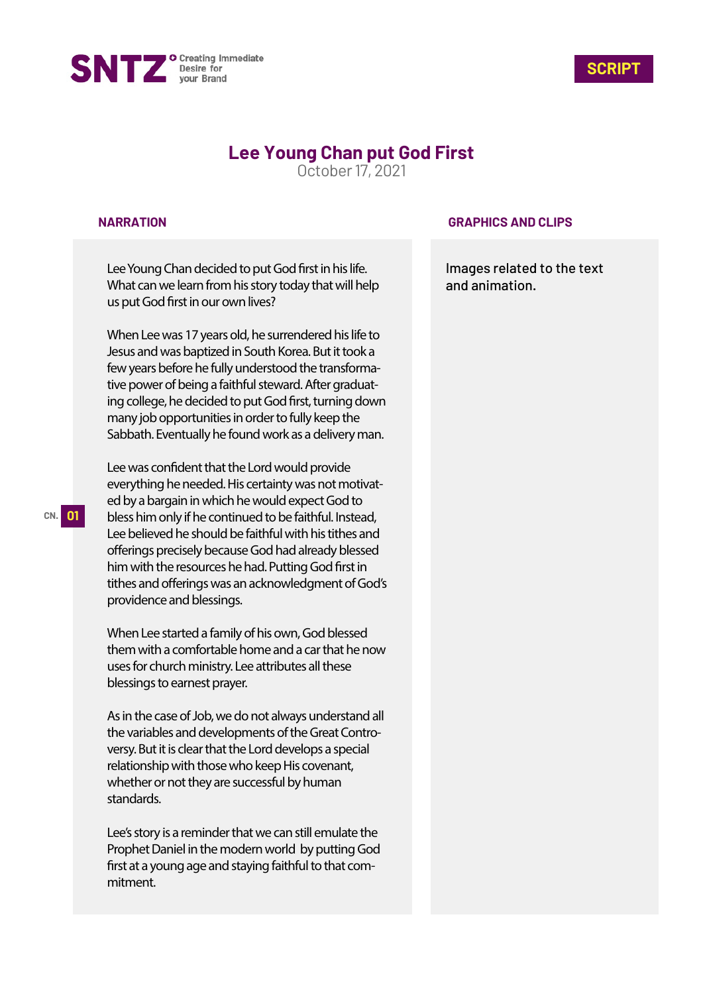



# **Lee Young Chan put God First**

October 17, 2021

#### **NARRATION**

Lee Young Chan decided to put God first in his life. What can we learn from his story today that will help us put God first in our own lives?

When Lee was 17 years old, he surrendered his life to Jesus and was baptized in South Korea. But it took a few years before he fully understood the transformative power of being a faithful steward. After graduating college, he decided to put God first, turning down many job opportunities in order to fully keep the Sabbath. Eventually he found work as a delivery man.

Lee was confident that the Lord would provide everything he needed. His certainty was not motivated by a bargain in which he would expect God to bless him only if he continued to be faithful. Instead, Lee believed he should be faithful with his tithes and offerings precisely because God had already blessed him with the resources he had. Putting God first in tithes and offerings was an acknowledgment of God's providence and blessings.

When Lee started a family of his own, God blessed them with a comfortable home and a car that he now uses for church ministry. Lee attributes all these blessings to earnest prayer.

As in the case of Job, we do not always understand all the variables and developments of the Great Controversy. But it is clear that the Lord develops a special relationship with those who keep His covenant, whether or not they are successful by human standards.

Lee's story is a reminder that we can still emulate the Prophet Daniel in the modern world by putting God first at a young age and staying faithful to that commitment.

### **GRAPHICS AND CLIPS**

Images related to the text and animation.